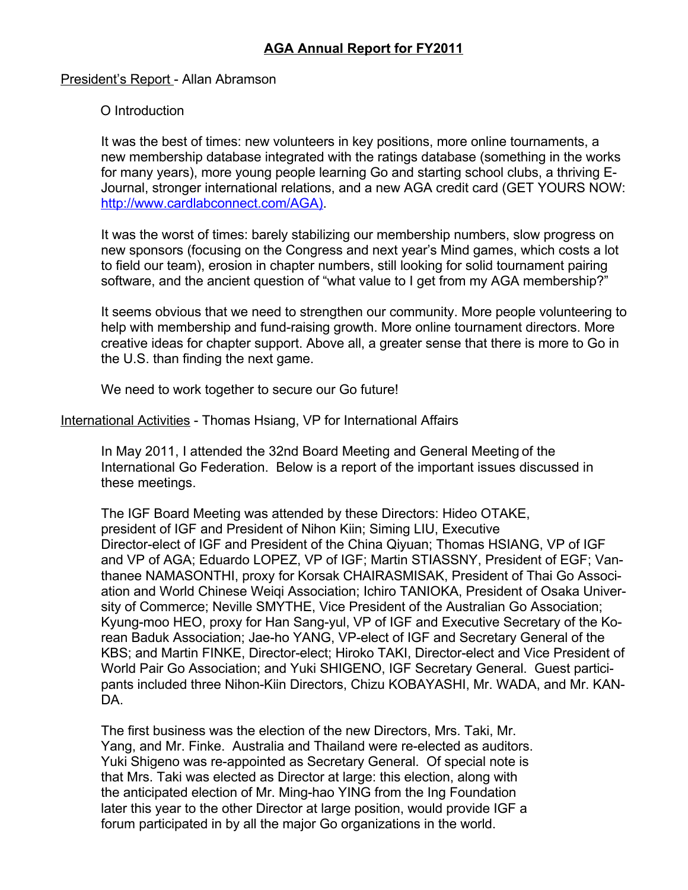## President's Report - Allan Abramson

## O Introduction

It was the best of times: new volunteers in key positions, more online tournaments, a new membership database integrated with the ratings database (something in the works for many years), more young people learning Go and starting school clubs, a thriving E-Journal, stronger international relations, and a new AGA credit card (GET YOURS NOW: [http://www.cardlabconnect.com/AGA\).](http://www.cardlabconnect.com/AGA)

It was the worst of times: barely stabilizing our membership numbers, slow progress on new sponsors (focusing on the Congress and next year's Mind games, which costs a lot to field our team), erosion in chapter numbers, still looking for solid tournament pairing software, and the ancient question of "what value to I get from my AGA membership?"

It seems obvious that we need to strengthen our community. More people volunteering to help with membership and fund-raising growth. More online tournament directors. More creative ideas for chapter support. Above all, a greater sense that there is more to Go in the U.S. than finding the next game.

We need to work together to secure our Go future!

International Activities - Thomas Hsiang, VP for International Affairs

In May 2011, I attended the 32nd Board Meeting and General Meeting of the International Go Federation. Below is a report of the important issues discussed in these meetings.

The IGF Board Meeting was attended by these Directors: Hideo OTAKE, president of IGF and President of Nihon Kiin; Siming LIU, Executive Director-elect of IGF and President of the China Qiyuan; Thomas HSIANG, VP of IGF and VP of AGA; Eduardo LOPEZ, VP of IGF; Martin STIASSNY, President of EGF; Vanthanee NAMASONTHI, proxy for Korsak CHAIRASMISAK, President of Thai Go Association and World Chinese Weiqi Association; Ichiro TANIOKA, President of Osaka University of Commerce; Neville SMYTHE, Vice President of the Australian Go Association; Kyung-moo HEO, proxy for Han Sang-yul, VP of IGF and Executive Secretary of the Korean Baduk Association; Jae-ho YANG, VP-elect of IGF and Secretary General of the KBS; and Martin FINKE, Director-elect; Hiroko TAKI, Director-elect and Vice President of World Pair Go Association; and Yuki SHIGENO, IGF Secretary General. Guest participants included three Nihon-Kiin Directors, Chizu KOBAYASHI, Mr. WADA, and Mr. KAN-DA.

The first business was the election of the new Directors, Mrs. Taki, Mr. Yang, and Mr. Finke. Australia and Thailand were re-elected as auditors. Yuki Shigeno was re-appointed as Secretary General. Of special note is that Mrs. Taki was elected as Director at large: this election, along with the anticipated election of Mr. Ming-hao YING from the Ing Foundation later this year to the other Director at large position, would provide IGF a forum participated in by all the major Go organizations in the world.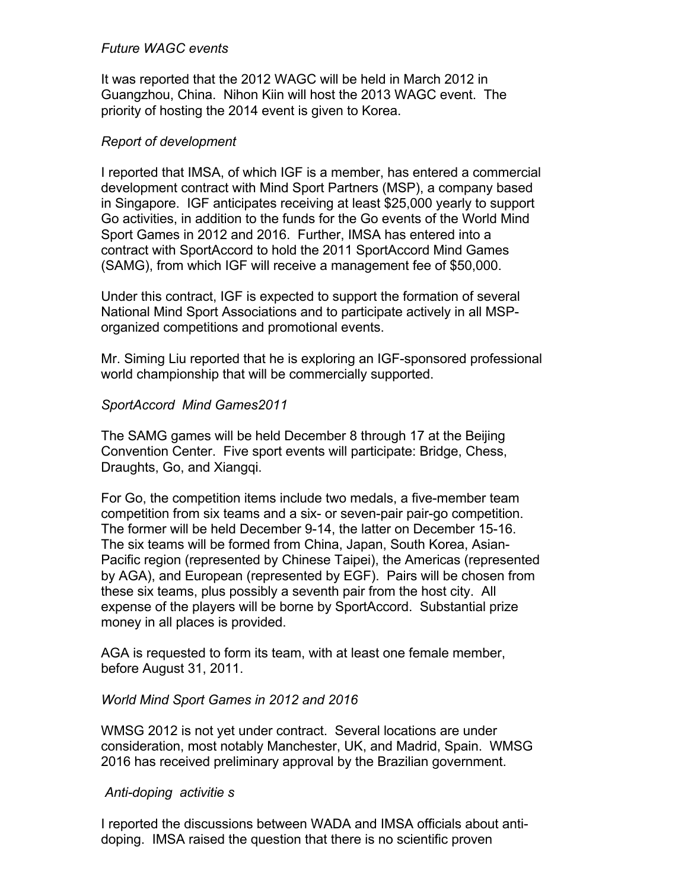### *Future WAGC events*

It was reported that the 2012 WAGC will be held in March 2012 in Guangzhou, China. Nihon Kiin will host the 2013 WAGC event. The priority of hosting the 2014 event is given to Korea.

### *Report of development*

I reported that IMSA, of which IGF is a member, has entered a commercial development contract with Mind Sport Partners (MSP), a company based in Singapore. IGF anticipates receiving at least \$25,000 yearly to support Go activities, in addition to the funds for the Go events of the World Mind Sport Games in 2012 and 2016. Further, IMSA has entered into a contract with SportAccord to hold the 2011 SportAccord Mind Games (SAMG), from which IGF will receive a management fee of \$50,000.

Under this contract, IGF is expected to support the formation of several National Mind Sport Associations and to participate actively in all MSPorganized competitions and promotional events.

Mr. Siming Liu reported that he is exploring an IGF-sponsored professional world championship that will be commercially supported.

### *SportAccord Mind Games2011*

The SAMG games will be held December 8 through 17 at the Beijing Convention Center. Five sport events will participate: Bridge, Chess, Draughts, Go, and Xiangqi.

For Go, the competition items include two medals, a five-member team competition from six teams and a six- or seven-pair pair-go competition. The former will be held December 9-14, the latter on December 15-16. The six teams will be formed from China, Japan, South Korea, Asian-Pacific region (represented by Chinese Taipei), the Americas (represented by AGA), and European (represented by EGF). Pairs will be chosen from these six teams, plus possibly a seventh pair from the host city. All expense of the players will be borne by SportAccord. Substantial prize money in all places is provided.

AGA is requested to form its team, with at least one female member, before August 31, 2011.

#### *World Mind Sport Games in 2012 and 2016*

WMSG 2012 is not yet under contract. Several locations are under consideration, most notably Manchester, UK, and Madrid, Spain. WMSG 2016 has received preliminary approval by the Brazilian government.

#### *Anti-doping activitie s*

I reported the discussions between WADA and IMSA officials about antidoping. IMSA raised the question that there is no scientific proven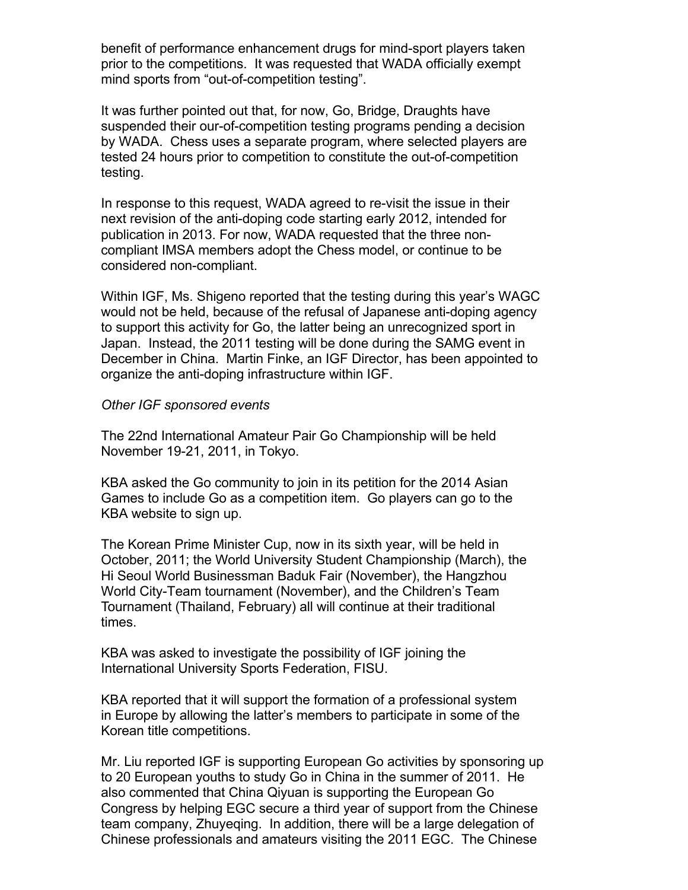benefit of performance enhancement drugs for mind-sport players taken prior to the competitions. It was requested that WADA officially exempt mind sports from "out-of-competition testing".

It was further pointed out that, for now, Go, Bridge, Draughts have suspended their our-of-competition testing programs pending a decision by WADA. Chess uses a separate program, where selected players are tested 24 hours prior to competition to constitute the out-of-competition testing.

In response to this request, WADA agreed to re-visit the issue in their next revision of the anti-doping code starting early 2012, intended for publication in 2013. For now, WADA requested that the three noncompliant IMSA members adopt the Chess model, or continue to be considered non-compliant.

Within IGF, Ms. Shigeno reported that the testing during this year's WAGC would not be held, because of the refusal of Japanese anti-doping agency to support this activity for Go, the latter being an unrecognized sport in Japan. Instead, the 2011 testing will be done during the SAMG event in December in China. Martin Finke, an IGF Director, has been appointed to organize the anti-doping infrastructure within IGF.

#### *Other IGF sponsored events*

The 22nd International Amateur Pair Go Championship will be held November 19-21, 2011, in Tokyo.

KBA asked the Go community to join in its petition for the 2014 Asian Games to include Go as a competition item. Go players can go to the KBA website to sign up.

The Korean Prime Minister Cup, now in its sixth year, will be held in October, 2011; the World University Student Championship (March), the Hi Seoul World Businessman Baduk Fair (November), the Hangzhou World City-Team tournament (November), and the Children's Team Tournament (Thailand, February) all will continue at their traditional times.

KBA was asked to investigate the possibility of IGF joining the International University Sports Federation, FISU.

KBA reported that it will support the formation of a professional system in Europe by allowing the latter's members to participate in some of the Korean title competitions.

Mr. Liu reported IGF is supporting European Go activities by sponsoring up to 20 European youths to study Go in China in the summer of 2011. He also commented that China Qiyuan is supporting the European Go Congress by helping EGC secure a third year of support from the Chinese team company, Zhuyeqing. In addition, there will be a large delegation of Chinese professionals and amateurs visiting the 2011 EGC. The Chinese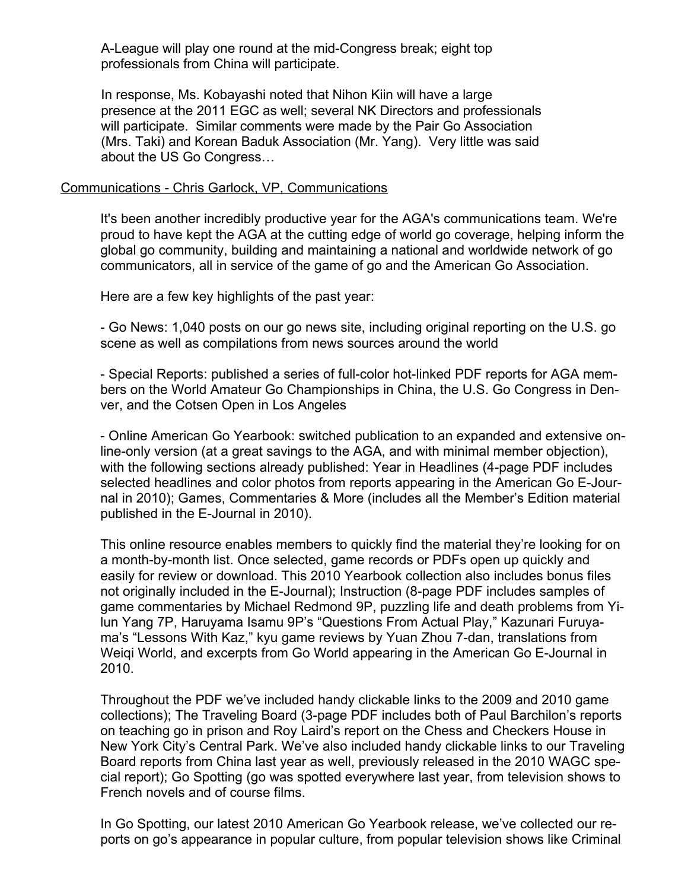A-League will play one round at the mid-Congress break; eight top professionals from China will participate.

In response, Ms. Kobayashi noted that Nihon Kiin will have a large presence at the 2011 EGC as well; several NK Directors and professionals will participate. Similar comments were made by the Pair Go Association (Mrs. Taki) and Korean Baduk Association (Mr. Yang). Very little was said about the US Go Congress...

#### Communications - Chris Garlock, VP, Communications

It's been another incredibly productive year for the AGA's communications team. We're proud to have kept the AGA at the cutting edge of world go coverage, helping inform the global go community, building and maintaining a national and worldwide network of go communicators, all in service of the game of go and the American Go Association.

Here are a few key highlights of the past year:

- Go News: 1,040 posts on our go news site, including original reporting on the U.S. go scene as well as compilations from news sources around the world

- Special Reports: published a series of full-color hot-linked PDF reports for AGA members on the World Amateur Go Championships in China, the U.S. Go Congress in Denver, and the Cotsen Open in Los Angeles

- Online American Go Yearbook: switched publication to an expanded and extensive online-only version (at a great savings to the AGA, and with minimal member objection), with the following sections already published: Year in Headlines (4-page PDF includes selected headlines and color photos from reports appearing in the American Go E-Journal in 2010); Games, Commentaries & More (includes all the Member's Edition material published in the E-Journal in 2010).

This online resource enables members to quickly find the material they're looking for on a month-by-month list. Once selected, game records or PDFs open up quickly and easily for review or download. This 2010 Yearbook collection also includes bonus files not originally included in the E-Journal); Instruction (8-page PDF includes samples of game commentaries by Michael Redmond 9P, puzzling life and death problems from Yilun Yang 7P, Haruyama Isamu 9P's "Questions From Actual Play," Kazunari Furuyama's "Lessons With Kaz," kyu game reviews by Yuan Zhou 7-dan, translations from Weiqi World, and excerpts from Go World appearing in the American Go E-Journal in 2010.

Throughout the PDF we've included handy clickable links to the 2009 and 2010 game collections); The Traveling Board (3-page PDF includes both of Paul Barchilon's reports on teaching go in prison and Roy Laird's report on the Chess and Checkers House in New York City's Central Park. We've also included handy clickable links to our Traveling Board reports from China last year as well, previously released in the 2010 WAGC special report); Go Spotting (go was spotted everywhere last year, from television shows to French novels and of course films.

In Go Spotting, our latest 2010 American Go Yearbook release, we've collected our reports on go's appearance in popular culture, from popular television shows like Criminal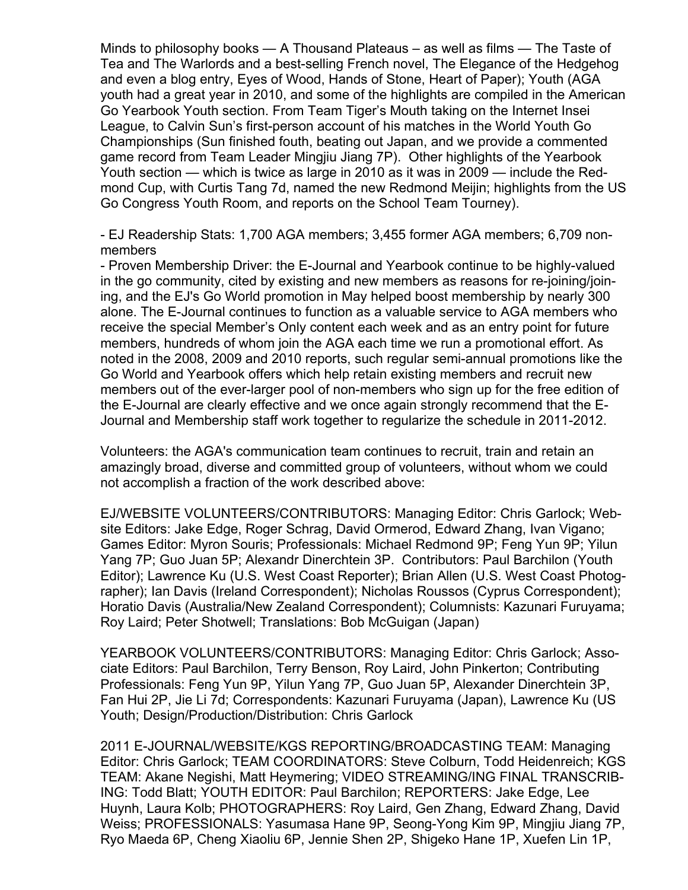Minds to philosophy books  $-$  A Thousand Plateaus  $-$  as well as films  $-$  The Taste of Tea and The Warlords and a best-selling French novel, The Elegance of the Hedgehog and even a blog entry, Eyes of Wood, Hands of Stone, Heart of Paper); Youth (AGA youth had a great year in 2010, and some of the highlights are compiled in the American Go Yearbook Youth section. From Team Tiger's Mouth taking on the Internet Insei League, to Calvin Sun's first-person account of his matches in the World Youth Go Championships (Sun finished fouth, beating out Japan, and we provide a commented game record from Team Leader Mingjiu Jiang 7P). Other highlights of the Yearbook Youth section  $-$  which is twice as large in 2010 as it was in 2009  $-$  include the Redmond Cup, with Curtis Tang 7d, named the new Redmond Meijin; highlights from the US Go Congress Youth Room, and reports on the School Team Tourney).

- EJ Readership Stats: 1,700 AGA members; 3,455 former AGA members; 6,709 nonmembers

- Proven Membership Driver: the E-Journal and Yearbook continue to be highly-valued in the go community, cited by existing and new members as reasons for re-joining/joining, and the EJ's Go World promotion in May helped boost membership by nearly 300 alone. The E-Journal continues to function as a valuable service to AGA members who receive the special Member's Only content each week and as an entry point for future members, hundreds of whom join the AGA each time we run a promotional effort. As noted in the 2008, 2009 and 2010 reports, such regular semi-annual promotions like the Go World and Yearbook offers which help retain existing members and recruit new members out of the ever-larger pool of non-members who sign up for the free edition of the E-Journal are clearly effective and we once again strongly recommend that the E-Journal and Membership staff work together to regularize the schedule in 2011-2012.

Volunteers: the AGA's communication team continues to recruit, train and retain an amazingly broad, diverse and committed group of volunteers, without whom we could not accomplish a fraction of the work described above:

EJ/WEBSITE VOLUNTEERS/CONTRIBUTORS: Managing Editor: Chris Garlock; Website Editors: Jake Edge, Roger Schrag, David Ormerod, Edward Zhang, Ivan Vigano; Games Editor: Myron Souris; Professionals: Michael Redmond 9P; Feng Yun 9P; Yilun Yang 7P; Guo Juan 5P; Alexandr Dinerchtein 3P. Contributors: Paul Barchilon (Youth Editor); Lawrence Ku (U.S. West Coast Reporter); Brian Allen (U.S. West Coast Photographer); Ian Davis (Ireland Correspondent); Nicholas Roussos (Cyprus Correspondent); Horatio Davis (Australia/New Zealand Correspondent); Columnists: Kazunari Furuyama; Roy Laird; Peter Shotwell; Translations: Bob McGuigan (Japan)

YEARBOOK VOLUNTEERS/CONTRIBUTORS: Managing Editor: Chris Garlock; Associate Editors: Paul Barchilon, Terry Benson, Roy Laird, John Pinkerton; Contributing Professionals: Feng Yun 9P, Yilun Yang 7P, Guo Juan 5P, Alexander Dinerchtein 3P, Fan Hui 2P, Jie Li 7d; Correspondents: Kazunari Furuyama (Japan), Lawrence Ku (US Youth; Design/Production/Distribution: Chris Garlock

2011 E-JOURNAL/WEBSITE/KGS REPORTING/BROADCASTING TEAM: Managing Editor: Chris Garlock; TEAM COORDINATORS: Steve Colburn, Todd Heidenreich; KGS TEAM: Akane Negishi, Matt Heymering; VIDEO STREAMING/ING FINAL TRANSCRIB-ING: Todd Blatt; YOUTH EDITOR: Paul Barchilon; REPORTERS: Jake Edge, Lee Huynh, Laura Kolb; PHOTOGRAPHERS: Roy Laird, Gen Zhang, Edward Zhang, David Weiss; PROFESSIONALS: Yasumasa Hane 9P, Seong-Yong Kim 9P, Mingjiu Jiang 7P, Ryo Maeda 6P, Cheng Xiaoliu 6P, Jennie Shen 2P, Shigeko Hane 1P, Xuefen Lin 1P,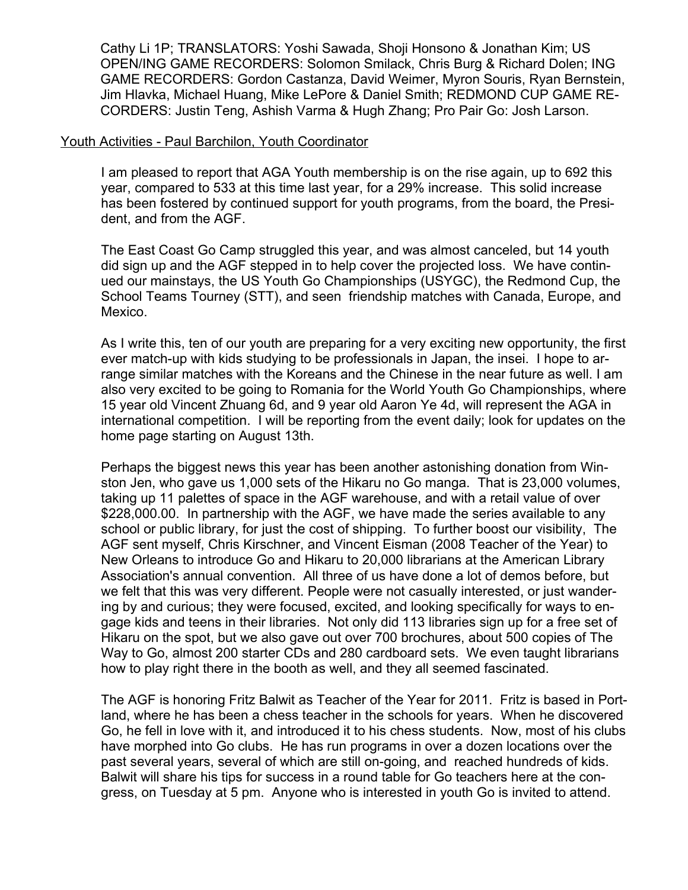Cathy Li 1P; TRANSLATORS: Yoshi Sawada, Shoji Honsono & Jonathan Kim; US OPEN/ING GAME RECORDERS: Solomon Smilack, Chris Burg & Richard Dolen; ING GAME RECORDERS: Gordon Castanza, David Weimer, Myron Souris, Ryan Bernstein, Jim Hlavka, Michael Huang, Mike LePore & Daniel Smith; REDMOND CUP GAME RE-CORDERS: Justin Teng, Ashish Varma & Hugh Zhang; Pro Pair Go: Josh Larson.

#### Youth Activities - Paul Barchilon, Youth Coordinator

I am pleased to report that AGA Youth membership is on the rise again, up to 692 this year, compared to 533 at this time last year, for a 29% increase. This solid increase has been fostered by continued support for youth programs, from the board, the President, and from the AGF.

The East Coast Go Camp struggled this year, and was almost canceled, but 14 youth did sign up and the AGF stepped in to help cover the projected loss. We have continued our mainstays, the US Youth Go Championships (USYGC), the Redmond Cup, the School Teams Tourney (STT), and seen friendship matches with Canada, Europe, and Mexico.

As I write this, ten of our youth are preparing for a very exciting new opportunity, the first ever match-up with kids studying to be professionals in Japan, the insei. I hope to arrange similar matches with the Koreans and the Chinese in the near future as well. I am also very excited to be going to Romania for the World Youth Go Championships, where 15 year old Vincent Zhuang 6d, and 9 year old Aaron Ye 4d, will represent the AGA in international competition. I will be reporting from the event daily; look for updates on the home page starting on August 13th.

Perhaps the biggest news this year has been another astonishing donation from Winston Jen, who gave us 1,000 sets of the Hikaru no Go manga. That is 23,000 volumes, taking up 11 palettes of space in the AGF warehouse, and with a retail value of over \$228,000.00. In partnership with the AGF, we have made the series available to any school or public library, for just the cost of shipping. To further boost our visibility, The AGF sent myself, Chris Kirschner, and Vincent Eisman (2008 Teacher of the Year) to New Orleans to introduce Go and Hikaru to 20,000 librarians at the American Library Association's annual convention. All three of us have done a lot of demos before, but we felt that this was very different. People were not casually interested, or just wandering by and curious; they were focused, excited, and looking specifically for ways to engage kids and teens in their libraries. Not only did 113 libraries sign up for a free set of Hikaru on the spot, but we also gave out over 700 brochures, about 500 copies of The Way to Go, almost 200 starter CDs and 280 cardboard sets. We even taught librarians how to play right there in the booth as well, and they all seemed fascinated.

The AGF is honoring Fritz Balwit as Teacher of the Year for 2011. Fritz is based in Portland, where he has been a chess teacher in the schools for years. When he discovered Go, he fell in love with it, and introduced it to his chess students. Now, most of his clubs have morphed into Go clubs. He has run programs in over a dozen locations over the past several years, several of which are still on-going, and reached hundreds of kids. Balwit will share his tips for success in a round table for Go teachers here at the congress, on Tuesday at 5 pm. Anyone who is interested in youth Go is invited to attend.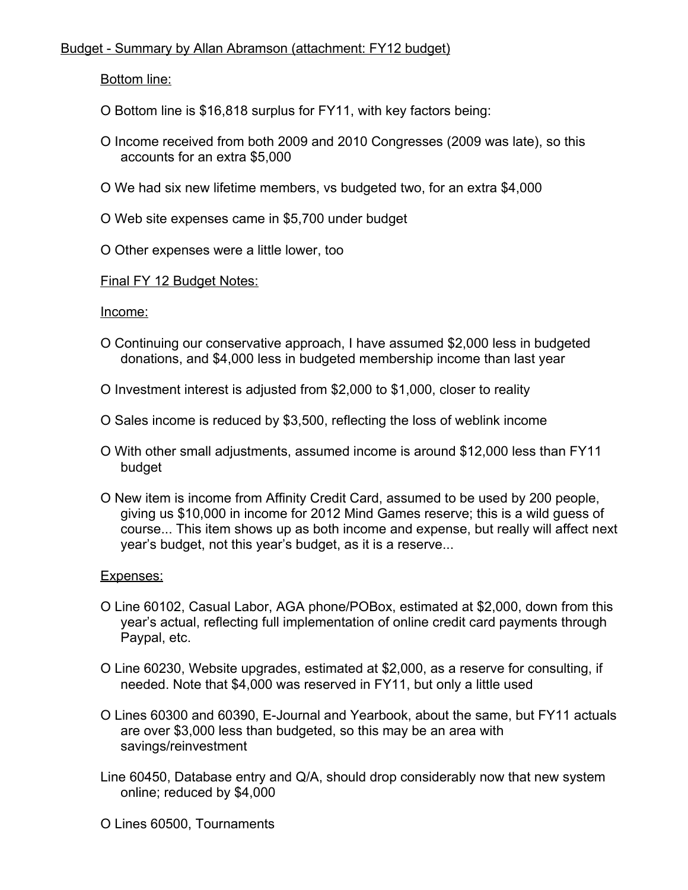# Budget - Summary by Allan Abramson (attachment: FY12 budget)

Bottom line:

- O Bottom line is \$16,818 surplus for FY11, with key factors being:
- O Income received from both 2009 and 2010 Congresses (2009 was late), so this accounts for an extra \$5,000
- O We had six new lifetime members, vs budgeted two, for an extra \$4,000
- O Web site expenses came in \$5,700 under budget
- O Other expenses were a little lower, too
- Final FY 12 Budget Notes:

Income:

- O Continuing our conservative approach, I have assumed \$2,000 less in budgeted donations, and \$4,000 less in budgeted membership income than last year
- O Investment interest is adjusted from \$2,000 to \$1,000, closer to reality
- O Sales income is reduced by \$3,500, reflecting the loss of weblink income
- O With other small adjustments, assumed income is around \$12,000 less than FY11 budget
- O New item is income from Affinity Credit Card, assumed to be used by 200 people, giving us \$10,000 in income for 2012 Mind Games reserve; this is a wild guess of course... This item shows up as both income and expense, but really will affect next year's budget, not this year's budget, as it is a reserve...

### Expenses:

- O Line 60102, Casual Labor, AGA phone/POBox, estimated at \$2,000, down from this year's actual, reflecting full implementation of online credit card payments through Paypal, etc.
- O Line 60230, Website upgrades, estimated at \$2,000, as a reserve for consulting, if needed. Note that \$4,000 was reserved in FY11, but only a little used
- O Lines 60300 and 60390, E-Journal and Yearbook, about the same, but FY11 actuals are over \$3,000 less than budgeted, so this may be an area with savings/reinvestment
- Line 60450, Database entry and Q/A, should drop considerably now that new system online; reduced by \$4,000

O Lines 60500, Tournaments